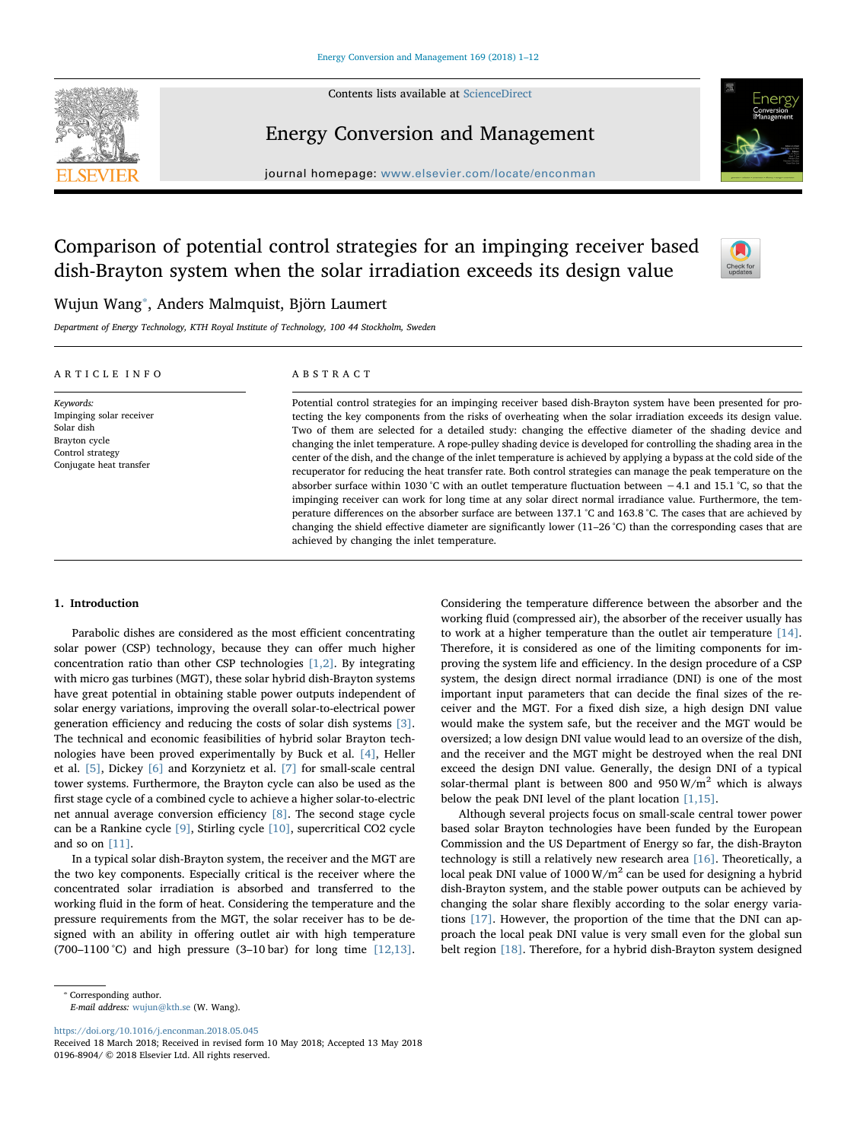Contents lists available at [ScienceDirect](http://www.sciencedirect.com/science/journal/01968904)



### Energy Conversion and Management

journal homepage: [www.elsevier.com/locate/enconman](https://www.elsevier.com/locate/enconman)

## Comparison of potential control strategies for an impinging receiver based dish-Brayton system when the solar irradiation exceeds its design value



### Wujun Wang[⁎](#page-0-0) , Anders Malmquist, Björn Laumert

Department of Energy Technology, KTH Royal Institute of Technology, 100 44 Stockholm, Sweden

| ARTICLE INFO                                                                                                        | ABSTRACT                                                                                                                                                                                                                                                                                                                                                                                                                                                                                                                                                                                                                                                                                                                                                                                                                                                                                                                                                                                                                                                                                                                                                                                   |  |  |
|---------------------------------------------------------------------------------------------------------------------|--------------------------------------------------------------------------------------------------------------------------------------------------------------------------------------------------------------------------------------------------------------------------------------------------------------------------------------------------------------------------------------------------------------------------------------------------------------------------------------------------------------------------------------------------------------------------------------------------------------------------------------------------------------------------------------------------------------------------------------------------------------------------------------------------------------------------------------------------------------------------------------------------------------------------------------------------------------------------------------------------------------------------------------------------------------------------------------------------------------------------------------------------------------------------------------------|--|--|
| Keywords:<br>Impinging solar receiver<br>Solar dish<br>Brayton cycle<br>Control strategy<br>Conjugate heat transfer | Potential control strategies for an impinging receiver based dish-Brayton system have been presented for pro-<br>tecting the key components from the risks of overheating when the solar irradiation exceeds its design value.<br>Two of them are selected for a detailed study: changing the effective diameter of the shading device and<br>changing the inlet temperature. A rope-pulley shading device is developed for controlling the shading area in the<br>center of the dish, and the change of the inlet temperature is achieved by applying a bypass at the cold side of the<br>recuperator for reducing the heat transfer rate. Both control strategies can manage the peak temperature on the<br>absorber surface within 1030 °C with an outlet temperature fluctuation between $-4.1$ and 15.1 °C, so that the<br>impinging receiver can work for long time at any solar direct normal irradiance value. Furthermore, the tem-<br>perature differences on the absorber surface are between 137.1 °C and 163.8 °C. The cases that are achieved by<br>changing the shield effective diameter are significantly lower $(11-26 \degree C)$ than the corresponding cases that are |  |  |

achieved by changing the inlet temperature.

#### 1. Introduction

Parabolic dishes are considered as the most efficient concentrating solar power (CSP) technology, because they can offer much higher concentration ratio than other CSP technologies [\[1,2\]](#page--1-0). By integrating with micro gas turbines (MGT), these solar hybrid dish-Brayton systems have great potential in obtaining stable power outputs independent of solar energy variations, improving the overall solar-to-electrical power generation efficiency and reducing the costs of solar dish systems [\[3\]](#page--1-1). The technical and economic feasibilities of hybrid solar Brayton technologies have been proved experimentally by Buck et al. [\[4\]](#page--1-2), Heller et al. [\[5\]](#page--1-3), Dickey [\[6\]](#page--1-4) and Korzynietz et al. [\[7\]](#page--1-5) for small-scale central tower systems. Furthermore, the Brayton cycle can also be used as the first stage cycle of a combined cycle to achieve a higher solar-to-electric net annual average conversion efficiency [\[8\]](#page--1-6). The second stage cycle can be a Rankine cycle [\[9\],](#page--1-7) Stirling cycle [\[10\]](#page--1-8), supercritical CO2 cycle and so on [\[11\].](#page--1-9)

In a typical solar dish-Brayton system, the receiver and the MGT are the two key components. Especially critical is the receiver where the concentrated solar irradiation is absorbed and transferred to the working fluid in the form of heat. Considering the temperature and the pressure requirements from the MGT, the solar receiver has to be designed with an ability in offering outlet air with high temperature (700–1100 °C) and high pressure (3–10 bar) for long time  $[12,13]$ .

<span id="page-0-0"></span>⁎ Corresponding author. E-mail address: [wujun@kth.se](mailto:wujun@kth.se) (W. Wang).

<https://doi.org/10.1016/j.enconman.2018.05.045>

Considering the temperature difference between the absorber and the working fluid (compressed air), the absorber of the receiver usually has to work at a higher temperature than the outlet air temperature [\[14\]](#page--1-11). Therefore, it is considered as one of the limiting components for improving the system life and efficiency. In the design procedure of a CSP system, the design direct normal irradiance (DNI) is one of the most important input parameters that can decide the final sizes of the receiver and the MGT. For a fixed dish size, a high design DNI value would make the system safe, but the receiver and the MGT would be oversized; a low design DNI value would lead to an oversize of the dish, and the receiver and the MGT might be destroyed when the real DNI exceed the design DNI value. Generally, the design DNI of a typical solar-thermal plant is between 800 and 950 W/m<sup>2</sup> which is always below the peak DNI level of the plant location [\[1,15\]](#page--1-0).

Although several projects focus on small-scale central tower power based solar Brayton technologies have been funded by the European Commission and the US Department of Energy so far, the dish-Brayton technology is still a relatively new research area [\[16\]](#page--1-12). Theoretically, a local peak DNI value of 1000  $W/m^2$  can be used for designing a hybrid dish-Brayton system, and the stable power outputs can be achieved by changing the solar share flexibly according to the solar energy variations [\[17\].](#page--1-13) However, the proportion of the time that the DNI can approach the local peak DNI value is very small even for the global sun belt region [\[18\]](#page--1-14). Therefore, for a hybrid dish-Brayton system designed

Received 18 March 2018; Received in revised form 10 May 2018; Accepted 13 May 2018 0196-8904/ © 2018 Elsevier Ltd. All rights reserved.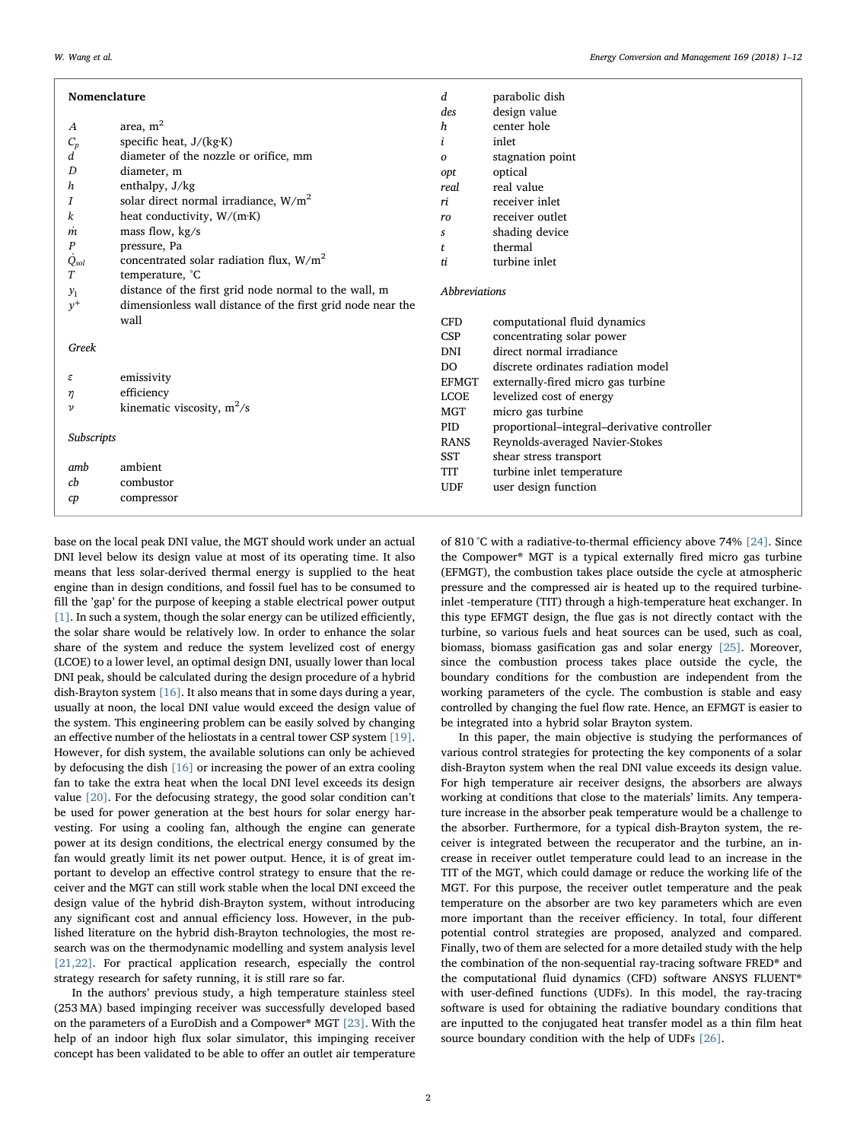| Nomenclature     |                                                             | d                           | parabolic dish                              |  |
|------------------|-------------------------------------------------------------|-----------------------------|---------------------------------------------|--|
|                  |                                                             | des                         | design value                                |  |
| $\boldsymbol{A}$ | area, $m2$                                                  | $\boldsymbol{h}$            | center hole                                 |  |
| $C_p$            | specific heat, J/(kg·K)                                     | i                           | inlet                                       |  |
| d                | diameter of the nozzle or orifice, mm                       | 0                           | stagnation point                            |  |
| D                | diameter, m                                                 | opt                         | optical                                     |  |
| h                | enthalpy, J/kg                                              | real                        | real value                                  |  |
| I                | solar direct normal irradiance, $W/m2$                      | ri                          | receiver inlet                              |  |
| k                | heat conductivity, W/(m·K)                                  | ro                          | receiver outlet                             |  |
| m                | mass flow, $kg/s$                                           |                             | shading device                              |  |
| P                | pressure, Pa                                                | $\mathbf{t}$                | thermal                                     |  |
| $\dot{Q}_{sol}$  | concentrated solar radiation flux, $W/m2$                   | ti.                         | turbine inlet                               |  |
| T                | temperature, °C                                             |                             |                                             |  |
| $y_1$            | distance of the first grid node normal to the wall, m       | <i><b>Abbreviations</b></i> |                                             |  |
| $y^+$            | dimensionless wall distance of the first grid node near the |                             |                                             |  |
|                  | wall                                                        | <b>CFD</b>                  | computational fluid dynamics                |  |
|                  |                                                             | CSP                         | concentrating solar power                   |  |
| Greek            |                                                             | <b>DNI</b>                  | direct normal irradiance                    |  |
|                  |                                                             | DO.                         | discrete ordinates radiation model          |  |
| ε                | emissivity                                                  | EFMGT                       | externally-fired micro gas turbine          |  |
| η                | efficiency                                                  | <b>LCOE</b>                 | levelized cost of energy                    |  |
| ν                | kinematic viscosity, $m^2/s$                                | <b>MGT</b>                  | micro gas turbine                           |  |
|                  |                                                             | PID                         | proportional-integral-derivative controller |  |
| Subscripts       |                                                             | <b>RANS</b>                 | Reynolds-averaged Navier-Stokes             |  |
|                  |                                                             | <b>SST</b>                  | shear stress transport                      |  |
| amb              | ambient                                                     | TIT                         | turbine inlet temperature                   |  |
| cb               | combustor                                                   | <b>UDF</b>                  | user design function                        |  |
| cp               | compressor                                                  |                             |                                             |  |

base on the local peak DNI value, the MGT should work under an actual DNI level below its design value at most of its operating time. It also means that less solar-derived thermal energy is supplied to the heat engine than in design conditions, and fossil fuel has to be consumed to fill the 'gap' for the purpose of keeping a stable electrical power output [\[1\].](#page--1-0) In such a system, though the solar energy can be utilized efficiently, the solar share would be relatively low. In order to enhance the solar share of the system and reduce the system levelized cost of energy (LCOE) to a lower level, an optimal design DNI, usually lower than local DNI peak, should be calculated during the design procedure of a hybrid dish-Brayton system [\[16\]](#page--1-12). It also means that in some days during a year, usually at noon, the local DNI value would exceed the design value of the system. This engineering problem can be easily solved by changing an effective number of the heliostats in a central tower CSP system [\[19\]](#page--1-15). However, for dish system, the available solutions can only be achieved by defocusing the dish [\[16\]](#page--1-12) or increasing the power of an extra cooling fan to take the extra heat when the local DNI level exceeds its design value [\[20\]](#page--1-16). For the defocusing strategy, the good solar condition can't be used for power generation at the best hours for solar energy harvesting. For using a cooling fan, although the engine can generate power at its design conditions, the electrical energy consumed by the fan would greatly limit its net power output. Hence, it is of great important to develop an effective control strategy to ensure that the receiver and the MGT can still work stable when the local DNI exceed the design value of the hybrid dish-Brayton system, without introducing any significant cost and annual efficiency loss. However, in the published literature on the hybrid dish-Brayton technologies, the most research was on the thermodynamic modelling and system analysis level [\[21,22\].](#page--1-17) For practical application research, especially the control

In the authors' previous study, a high temperature stainless steel (253 MA) based impinging receiver was successfully developed based on the parameters of a EuroDish and a Compower® MGT [\[23\].](#page--1-18) With the help of an indoor high flux solar simulator, this impinging receiver concept has been validated to be able to offer an outlet air temperature

strategy research for safety running, it is still rare so far.

of 810 °C with a radiative-to-thermal efficiency above 74% [\[24\]](#page--1-19). Since the Compower® MGT is a typical externally fired micro gas turbine (EFMGT), the combustion takes place outside the cycle at atmospheric pressure and the compressed air is heated up to the required turbineinlet -temperature (TIT) through a high-temperature heat exchanger. In this type EFMGT design, the flue gas is not directly contact with the turbine, so various fuels and heat sources can be used, such as coal, biomass, biomass gasification gas and solar energy [\[25\]](#page--1-20). Moreover, since the combustion process takes place outside the cycle, the boundary conditions for the combustion are independent from the working parameters of the cycle. The combustion is stable and easy controlled by changing the fuel flow rate. Hence, an EFMGT is easier to be integrated into a hybrid solar Brayton system.

In this paper, the main objective is studying the performances of various control strategies for protecting the key components of a solar dish-Brayton system when the real DNI value exceeds its design value. For high temperature air receiver designs, the absorbers are always working at conditions that close to the materials' limits. Any temperature increase in the absorber peak temperature would be a challenge to the absorber. Furthermore, for a typical dish-Brayton system, the receiver is integrated between the recuperator and the turbine, an increase in receiver outlet temperature could lead to an increase in the TIT of the MGT, which could damage or reduce the working life of the MGT. For this purpose, the receiver outlet temperature and the peak temperature on the absorber are two key parameters which are even more important than the receiver efficiency. In total, four different potential control strategies are proposed, analyzed and compared. Finally, two of them are selected for a more detailed study with the help the combination of the non-sequential ray-tracing software FRED® and the computational fluid dynamics (CFD) software ANSYS FLUENT® with user-defined functions (UDFs). In this model, the ray-tracing software is used for obtaining the radiative boundary conditions that are inputted to the conjugated heat transfer model as a thin film heat source boundary condition with the help of UDFs [\[26\].](#page--1-21)